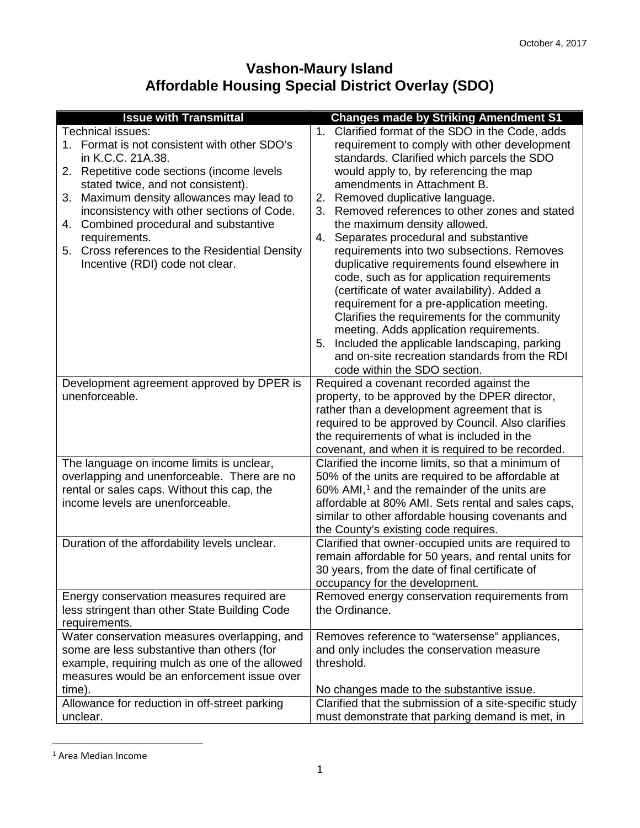## **Vashon-Maury Island Affordable Housing Special District Overlay (SDO)**

| <b>Issue with Transmittal</b>                                                                                                                                                                                                                                                                                                                                                                                                     | <b>Changes made by Striking Amendment S1</b>                                                                                                                                                                                                                                                                                                                                                                                                                                                                                                                                                                                                                                                                                                                                                                                                                                     |
|-----------------------------------------------------------------------------------------------------------------------------------------------------------------------------------------------------------------------------------------------------------------------------------------------------------------------------------------------------------------------------------------------------------------------------------|----------------------------------------------------------------------------------------------------------------------------------------------------------------------------------------------------------------------------------------------------------------------------------------------------------------------------------------------------------------------------------------------------------------------------------------------------------------------------------------------------------------------------------------------------------------------------------------------------------------------------------------------------------------------------------------------------------------------------------------------------------------------------------------------------------------------------------------------------------------------------------|
| Technical issues:<br>1. Format is not consistent with other SDO's<br>in K.C.C. 21A.38.<br>Repetitive code sections (income levels<br>2.<br>stated twice, and not consistent).<br>Maximum density allowances may lead to<br>3.<br>inconsistency with other sections of Code.<br>Combined procedural and substantive<br>4.<br>requirements.<br>Cross references to the Residential Density<br>5.<br>Incentive (RDI) code not clear. | Clarified format of the SDO in the Code, adds<br>$1_{\cdot}$<br>requirement to comply with other development<br>standards. Clarified which parcels the SDO<br>would apply to, by referencing the map<br>amendments in Attachment B.<br>2. Removed duplicative language.<br>3. Removed references to other zones and stated<br>the maximum density allowed.<br>Separates procedural and substantive<br>4.<br>requirements into two subsections. Removes<br>duplicative requirements found elsewhere in<br>code, such as for application requirements<br>(certificate of water availability). Added a<br>requirement for a pre-application meeting.<br>Clarifies the requirements for the community<br>meeting. Adds application requirements.<br>5. Included the applicable landscaping, parking<br>and on-site recreation standards from the RDI<br>code within the SDO section. |
| Development agreement approved by DPER is<br>unenforceable.                                                                                                                                                                                                                                                                                                                                                                       | Required a covenant recorded against the<br>property, to be approved by the DPER director,<br>rather than a development agreement that is<br>required to be approved by Council. Also clarifies<br>the requirements of what is included in the<br>covenant, and when it is required to be recorded.                                                                                                                                                                                                                                                                                                                                                                                                                                                                                                                                                                              |
| The language on income limits is unclear,<br>overlapping and unenforceable. There are no<br>rental or sales caps. Without this cap, the<br>income levels are unenforceable.                                                                                                                                                                                                                                                       | Clarified the income limits, so that a minimum of<br>50% of the units are required to be affordable at<br>$60\%$ AMI, <sup>1</sup> and the remainder of the units are<br>affordable at 80% AMI. Sets rental and sales caps,<br>similar to other affordable housing covenants and<br>the County's existing code requires.                                                                                                                                                                                                                                                                                                                                                                                                                                                                                                                                                         |
| Duration of the affordability levels unclear.                                                                                                                                                                                                                                                                                                                                                                                     | Clarified that owner-occupied units are required to<br>remain affordable for 50 years, and rental units for<br>30 years, from the date of final certificate of<br>occupancy for the development.                                                                                                                                                                                                                                                                                                                                                                                                                                                                                                                                                                                                                                                                                 |
| Energy conservation measures required are<br>less stringent than other State Building Code<br>requirements.                                                                                                                                                                                                                                                                                                                       | Removed energy conservation requirements from<br>the Ordinance.                                                                                                                                                                                                                                                                                                                                                                                                                                                                                                                                                                                                                                                                                                                                                                                                                  |
| Water conservation measures overlapping, and<br>some are less substantive than others (for<br>example, requiring mulch as one of the allowed<br>measures would be an enforcement issue over<br>time).                                                                                                                                                                                                                             | Removes reference to "watersense" appliances,<br>and only includes the conservation measure<br>threshold.<br>No changes made to the substantive issue.                                                                                                                                                                                                                                                                                                                                                                                                                                                                                                                                                                                                                                                                                                                           |
| Allowance for reduction in off-street parking<br>unclear.                                                                                                                                                                                                                                                                                                                                                                         | Clarified that the submission of a site-specific study<br>must demonstrate that parking demand is met, in                                                                                                                                                                                                                                                                                                                                                                                                                                                                                                                                                                                                                                                                                                                                                                        |

<span id="page-0-0"></span> <sup>1</sup> Area Median Income